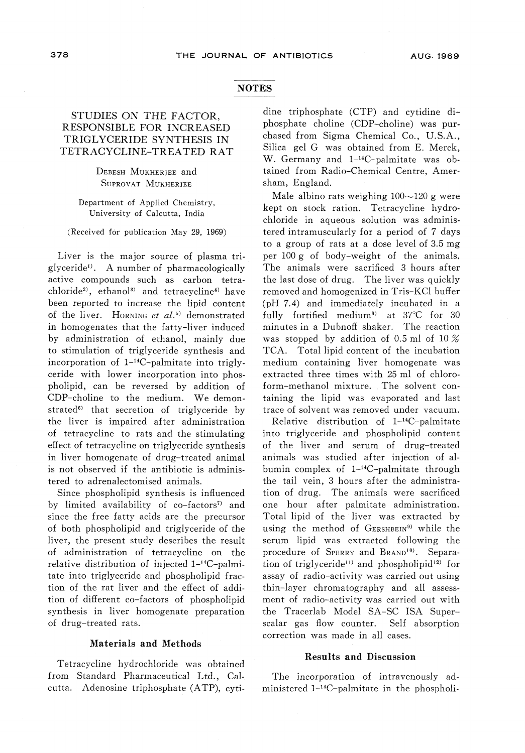## **NOTES**

# STUDIES ON THE FACTOR, RESPONSIBLE FOR INCREASED TRIGLYCERIDE SYNTHESIS IN TETRACYCLINE-TREATED RAT

Debesh Mukherjee and Surovat Mukherjee

Department of Applied Chemistry, University of Calcutta, India

(Received for publication May 29, 1969)

Liver is the major source of plasma tri-<br>glyceride<sup>1</sup>. A number of pharmacologically active compounds such as carbon tetrachloride<sup>2</sup>, ethanol<sup>3)</sup> and tetracycline<sup>4)</sup> have been reported to increase the lipid content of the liver. HORNING et  $al$ <sup>5)</sup> demonstrated in homogenates that the fatty-liver induced<br>by administration of ethanol, mainly due by administration of ethanol, mainly due to stimulation of triglyceride synthesis and incorporation of  $1-14C$ -palmitate into triglyceride with lower incorporation into phospholipid, can be reversed by addition of CDP-choline to the medium. We demon-CDI-choline to the medium. We demonstrated^ that secretion of triglyceride by the liver is impaired after administration<br>of tetracycline to rats and the stimulating effect of tetracycline on triglyceride synthesis  $\frac{1}{2}$ effect of the synthesis of the synthesis synthesis synthesis synthesis synthesis synthesis synthesis synthesis synthesis synthesis synthesis synthesis synthesis synthesis synthesis synthesis synthesis synthesis s in liver homogenate of drug-treated animal is not observed if the antibiotic is adminis-<br>tered to adrenalectomised animals.

tered to adrenalectomised animals. Since phospholipid synthesis is influen by limited availability of co-factors<sup>7)</sup> and since the free fatty acids are the precursor of both phospholipid and triglyceride of the liver, the present study describes the result of administration of tetracycline on the relative distribution of injected l-14C-palmitate into triglyceride and phospholipid fraction of the rat liver and the effect of addition of different co-factors of phospholipid synthesis in liver homogenate preparation of drug-treated rats.

### Materials and Methods

Tetracycline hydrochloride was obtained from Standard Pharmaceutical Ltd., Calcutta. Adenosine triphosphate (ATP), cyt

dine triphosphate (CTP) and cytidine diphosphate choline (CDP-choline) was purchased from Sigma Chemical Co., U.S.A., W. Germany and 1<sup>-14</sup>C-palmitate was obtained from Radio-Chemical Centre, Amersham, England.<br>Male albino rats weighing  $100{\sim}120$  g were

Male albino rats weighing 100~120 g were kept on stock ration. Tetracycline hydr chloride in aqueous solution was administered intramuscularly for a period of 7 days to a group of rats at a dose levelof3.5mg per 100g of body-weight of the animals. The animals were sacrificed 3 hours after<br>the last dose of drug. The liver was quickly removed and homogenized in Tris-KCl buffer (pH  $7.4$ ) and immediately incubated in a (pH 7.4) and immediately incubated in a fully fortified medium8) at 37°C for 30 minutes in a Dubnoff shaker. The reaction was stopped by addition of 0.5 ml of 10  $\%$ <br>TCA. Total lipid content of the incubation medium containing liver homogenate was entracted three times with 25 ml of chloroform-methanol mixture. The solvent containing the lipid was evaporated and last<br>trace of solvent was removed under vacuum.

Relative distribution of 1<sup>-14</sup>C-palmitate into triglyceride and phospholipid content of the liver and serum of drug-treated animals was studied after injection of albumin complex of  $1^{-14}C$ -palmitate through<br>the tail vein, 3 hours after the administrathe tail vein, 3 hours after the administra-tion of drug. The animals were sacrificed one hour after palmitate administration. Total lipid of the liver was extracted by using the method of GERSHBEIN<sup>9)</sup> while the serum lipid was extracted following the procedure of SPERRY and BRAND<sup>10</sup>. Separa-<br>tion of triglyceride<sup>11)</sup> and phospholipid<sup>12)</sup> for assay of radio-activity was carried out using thin-layer chromatography and all assessthe Tracerlab Model SA-SC ISA Superscalar gas flow counter. Self absorption<br>correction was made in all cases. correction was made in all cases.

#### Results and Discussion

The incorporation of intravenously administered l-14C-palmitate in the phospholi-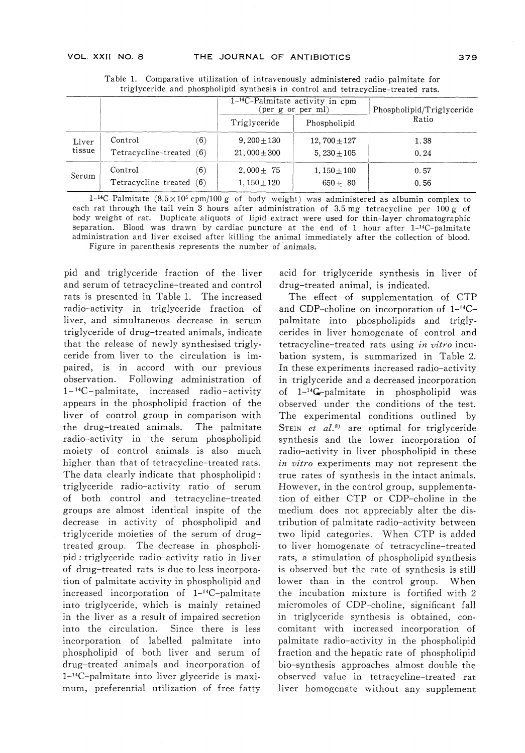|                 |                                     |     | 1 <sup>-14</sup> C-Palmitate activity in cpm<br>(per g or per ml) |                                  | Phospholipid/Triglyceride |
|-----------------|-------------------------------------|-----|-------------------------------------------------------------------|----------------------------------|---------------------------|
|                 |                                     |     | Triglyceride                                                      | Phospholipid                     | Ratio                     |
| Liver<br>tissue | Control<br>Tetracycline-treated (6) | (6) | $9,200 \pm 130$<br>$21,000 \pm 300$                               | 12, $700 \pm 127$<br>$5,230+105$ | 1.38<br>0.24              |
| Serum           | Control<br>Tetracycline-treated (6) | (6) | $2,000 \pm 75$<br>$1,150 \pm 120$                                 | $1,150 \pm 100$<br>$650 + 80$    | 0.57<br>0.56              |

Table 1. Comparative utilization of intravenously administered radio-palmitate for triglyceride and phospholipid synthesis in control and tetracycline-treated rats.

1-<sup>14</sup>C-Palmitate (8.5×10<sup>5</sup> cpm/100 g of body weight) was administered as albumin complex to each rat through the tail vein 3 hours after administration of 3.5 mg tetracycline per 100 g of body weight of rat. Duplicate aliquots of lipid extract were used for thin-laver chromatographic separation. Blood was drawn by cardiac puncture at the end of 1 hour after  $1-14C$ -palmitate separation. Blood was drawn by cardiac puncture at the end of 1 hour after  $1-4$ <sup>n</sup>-l-palmit administration and liver excised after killing the animal immediately after the collection of blood. Figure in parenthesis represents the number of animals.

pid and triglyceride fraction of the liver rats is presented in Table 1. The increased radio-activity in triglyceride fraction of liver, and simultaneous decrease in serum that the release of newly synthesised trigly ceride from liver to the circulation is impaired, is in accord with our previous observation. Following administration of  $1-14C$ -palmitate, increased radio-activity 1 C-palmitate, increased radio-act. appears in the phospholipid fraction of the the drug-treated animals. The palmitate radio-activity in the serum phospholipid moiety of control animals is also much higher than that of tetracycline-treated rats. The data clearly indicate that phospholipid :<br>triglyceride radio-activity ratio of serum triglyceride radio-activity ratio of serum of both control and tetracycline-treatgroups are almost identical inspite of the decrease in activity of phospholipid and<br>triglyceride moieties of the serum of drugtriglyceride moleties of the serum of drugtreated group. The decrease in phosphor pid : triglyceride radio-activity ratio in liver of drug-treated rats is due to less incorporaincreased incorporation of 1-<sup>14</sup>C-palmitate into triglyceride, which is mainly retain in the liver as a result of impaired secreti into the circulation. Since there is less incorporation of labelled palmitate into phospholipid of both liver and serum of drug-treated animals and incorporation of<br>1<sup>-14</sup>C-palmitate into liver glyceride is maxi-1<sup>1</sup> C-palmitate into liver glyceride is maximum, preferential utilization of free fatt

acid for triglyceride synthesis in liver of drug-treated animal, is indicated.

The effect of supplementation of CTP and CDP-choline on incorporation of  $1^{-14}C$ and CDP-choline on incorporation of 1-1-14Cpalmitate into phospholipids and trigly cerides in liver homogenate of control and<br>tetracycline-treated rats using *in vitro* incutetracycline-treated rats using *in vitro* incu bation system, is summarized in Table 2. In these experiments increased radio-activity<br>in triglyceride and a decreased incorporation of 1<sup>-14</sup>G-palmitate in phospholipid was observed under the conditions of the test. The experimental conditions outlined by STEIN  $et \ al.^{8)}$  are optimal for triglyceride synthesis and the lower incorporation of radio-activity in liver phospholipid in these in vitro experiments may not represent the true rates of synthesis in the intact animals. However, in the control group, supplementation of either CTP or CDP-choline in the medium does not appreciably alter the dis-<br>tribution of palmitate radio-activity between two lipid categories. When CTP is added to liver homogenate of tetracycline-treated rats, a stimulation of phospholipid synthesis is observed but the rate of synthesis is still lower than in the control group. When the incubation mixture is fortified with  $2 \times 2 \times 2 = 2 \times 2 = 2 \times 2 = 2 \times 2 = 2 \times 2 = 2 \times 2 = 2 \times 2 = 2 \times 2 = 2 \times 2 = 2 \times 2 = 2 \times 2 = 2 \times 2 = 2 \times 2 = 2 \times 2 = 2 \times 2 = 2 \times 2 = 2 \times 2 = 2 \times 2 = 2 \times 2 = 2 \times 2 = 2 \times 2 = 2 \times 2 = 2 \times 2 = 2 \times 2 = 2 \times 2 =$ micromoles of CDP-choline, significant fall in triglyceride synthesis is obtained, concomitant with increased incorporation of palmitate radio-activity in the phospholipid bio-synthesis approaches almost double the bio-synthesis approaches almost double the observed value in tetracycline-treated rat liver homogenate without any supplement